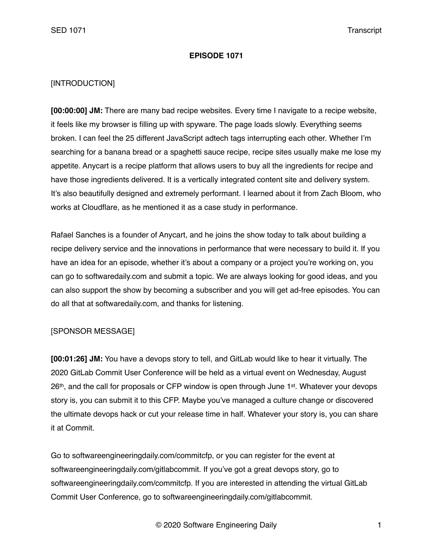### **EPISODE 1071**

## [INTRODUCTION]

**[00:00:00] JM:** There are many bad recipe websites. Every time I navigate to a recipe website, it feels like my browser is filling up with spyware. The page loads slowly. Everything seems broken. I can feel the 25 different JavaScript adtech tags interrupting each other. Whether I'm searching for a banana bread or a spaghetti sauce recipe, recipe sites usually make me lose my appetite. Anycart is a recipe platform that allows users to buy all the ingredients for recipe and have those ingredients delivered. It is a vertically integrated content site and delivery system. It's also beautifully designed and extremely performant. I learned about it from Zach Bloom, who works at Cloudflare, as he mentioned it as a case study in performance.

Rafael Sanches is a founder of Anycart, and he joins the show today to talk about building a recipe delivery service and the innovations in performance that were necessary to build it. If you have an idea for an episode, whether it's about a company or a project you're working on, you can go to softwaredaily.com and submit a topic. We are always looking for good ideas, and you can also support the show by becoming a subscriber and you will get ad-free episodes. You can do all that at softwaredaily.com, and thanks for listening.

## [SPONSOR MESSAGE]

**[00:01:26] JM:** You have a devops story to tell, and GitLab would like to hear it virtually. The 2020 GitLab Commit User Conference will be held as a virtual event on Wednesday, August 26<sup>th</sup>, and the call for proposals or CFP window is open through June 1<sup>st</sup>. Whatever your devops story is, you can submit it to this CFP. Maybe you've managed a culture change or discovered the ultimate devops hack or cut your release time in half. Whatever your story is, you can share it at Commit.

Go to softwareengineeringdaily.com/commitcfp, or you can register for the event at softwareengineeringdaily.com/gitlabcommit. If you've got a great devops story, go to softwareengineeringdaily.com/commitcfp. If you are interested in attending the virtual GitLab Commit User Conference, go to softwareengineeringdaily.com/gitlabcommit.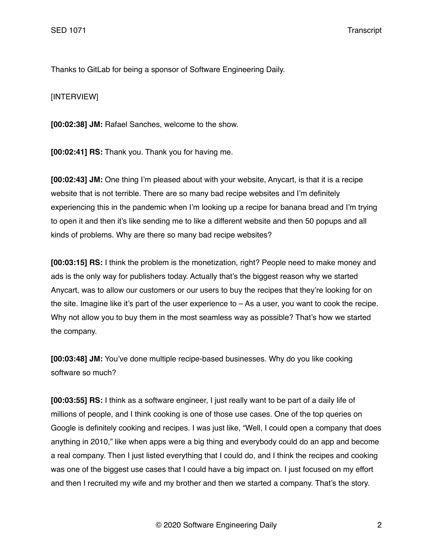Thanks to GitLab for being a sponsor of Software Engineering Daily.

[INTERVIEW]

**[00:02:38] JM:** Rafael Sanches, welcome to the show.

**[00:02:41] RS:** Thank you. Thank you for having me.

**[00:02:43] JM:** One thing I'm pleased about with your website, Anycart, is that it is a recipe website that is not terrible. There are so many bad recipe websites and I'm definitely experiencing this in the pandemic when I'm looking up a recipe for banana bread and I'm trying to open it and then it's like sending me to like a different website and then 50 popups and all kinds of problems. Why are there so many bad recipe websites?

**[00:03:15] RS:** I think the problem is the monetization, right? People need to make money and ads is the only way for publishers today. Actually that's the biggest reason why we started Anycart, was to allow our customers or our users to buy the recipes that they're looking for on the site. Imagine like it's part of the user experience to – As a user, you want to cook the recipe. Why not allow you to buy them in the most seamless way as possible? That's how we started the company.

**[00:03:48] JM:** You've done multiple recipe-based businesses. Why do you like cooking software so much?

**[00:03:55] RS:** I think as a software engineer, I just really want to be part of a daily life of millions of people, and I think cooking is one of those use cases. One of the top queries on Google is definitely cooking and recipes. I was just like, "Well, I could open a company that does anything in 2010," like when apps were a big thing and everybody could do an app and become a real company. Then I just listed everything that I could do, and I think the recipes and cooking was one of the biggest use cases that I could have a big impact on. I just focused on my effort and then I recruited my wife and my brother and then we started a company. That's the story.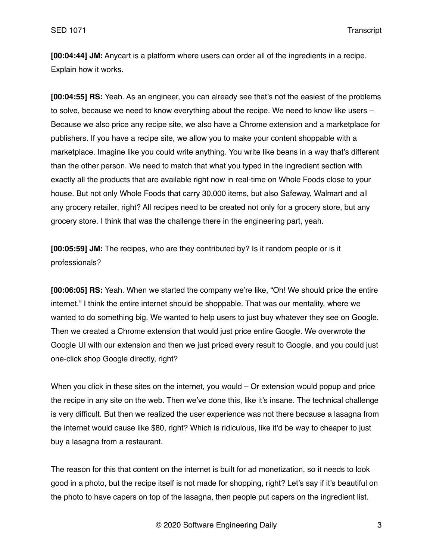**[00:04:44] JM:** Anycart is a platform where users can order all of the ingredients in a recipe. Explain how it works.

**[00:04:55] RS:** Yeah. As an engineer, you can already see that's not the easiest of the problems to solve, because we need to know everything about the recipe. We need to know like users – Because we also price any recipe site, we also have a Chrome extension and a marketplace for publishers. If you have a recipe site, we allow you to make your content shoppable with a marketplace. Imagine like you could write anything. You write like beans in a way that's different than the other person. We need to match that what you typed in the ingredient section with exactly all the products that are available right now in real-time on Whole Foods close to your house. But not only Whole Foods that carry 30,000 items, but also Safeway, Walmart and all any grocery retailer, right? All recipes need to be created not only for a grocery store, but any grocery store. I think that was the challenge there in the engineering part, yeah.

**[00:05:59] JM:** The recipes, who are they contributed by? Is it random people or is it professionals?

**[00:06:05] RS:** Yeah. When we started the company we're like, "Oh! We should price the entire internet." I think the entire internet should be shoppable. That was our mentality, where we wanted to do something big. We wanted to help users to just buy whatever they see on Google. Then we created a Chrome extension that would just price entire Google. We overwrote the Google UI with our extension and then we just priced every result to Google, and you could just one-click shop Google directly, right?

When you click in these sites on the internet, you would – Or extension would popup and price the recipe in any site on the web. Then we've done this, like it's insane. The technical challenge is very difficult. But then we realized the user experience was not there because a lasagna from the internet would cause like \$80, right? Which is ridiculous, like it'd be way to cheaper to just buy a lasagna from a restaurant.

The reason for this that content on the internet is built for ad monetization, so it needs to look good in a photo, but the recipe itself is not made for shopping, right? Let's say if it's beautiful on the photo to have capers on top of the lasagna, then people put capers on the ingredient list.

© 2020 Software Engineering Daily 3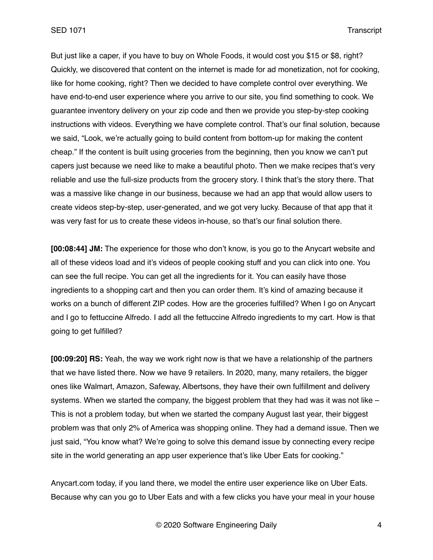But just like a caper, if you have to buy on Whole Foods, it would cost you \$15 or \$8, right? Quickly, we discovered that content on the internet is made for ad monetization, not for cooking, like for home cooking, right? Then we decided to have complete control over everything. We have end-to-end user experience where you arrive to our site, you find something to cook. We guarantee inventory delivery on your zip code and then we provide you step-by-step cooking instructions with videos. Everything we have complete control. That's our final solution, because we said, "Look, we're actually going to build content from bottom-up for making the content cheap." If the content is built using groceries from the beginning, then you know we can't put capers just because we need like to make a beautiful photo. Then we make recipes that's very reliable and use the full-size products from the grocery story. I think that's the story there. That was a massive like change in our business, because we had an app that would allow users to create videos step-by-step, user-generated, and we got very lucky. Because of that app that it was very fast for us to create these videos in-house, so that's our final solution there.

**[00:08:44] JM:** The experience for those who don't know, is you go to the Anycart website and all of these videos load and it's videos of people cooking stuff and you can click into one. You can see the full recipe. You can get all the ingredients for it. You can easily have those ingredients to a shopping cart and then you can order them. It's kind of amazing because it works on a bunch of different ZIP codes. How are the groceries fulfilled? When I go on Anycart and I go to fettuccine Alfredo. I add all the fettuccine Alfredo ingredients to my cart. How is that going to get fulfilled?

**[00:09:20] RS:** Yeah, the way we work right now is that we have a relationship of the partners that we have listed there. Now we have 9 retailers. In 2020, many, many retailers, the bigger ones like Walmart, Amazon, Safeway, Albertsons, they have their own fulfillment and delivery systems. When we started the company, the biggest problem that they had was it was not like – This is not a problem today, but when we started the company August last year, their biggest problem was that only 2% of America was shopping online. They had a demand issue. Then we just said, "You know what? We're going to solve this demand issue by connecting every recipe site in the world generating an app user experience that's like Uber Eats for cooking."

Anycart.com today, if you land there, we model the entire user experience like on Uber Eats. Because why can you go to Uber Eats and with a few clicks you have your meal in your house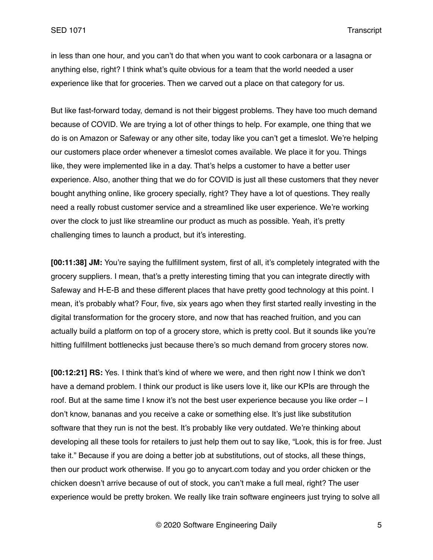in less than one hour, and you can't do that when you want to cook carbonara or a lasagna or anything else, right? I think what's quite obvious for a team that the world needed a user experience like that for groceries. Then we carved out a place on that category for us.

But like fast-forward today, demand is not their biggest problems. They have too much demand because of COVID. We are trying a lot of other things to help. For example, one thing that we do is on Amazon or Safeway or any other site, today like you can't get a timeslot. We're helping our customers place order whenever a timeslot comes available. We place it for you. Things like, they were implemented like in a day. That's helps a customer to have a better user experience. Also, another thing that we do for COVID is just all these customers that they never bought anything online, like grocery specially, right? They have a lot of questions. They really need a really robust customer service and a streamlined like user experience. We're working over the clock to just like streamline our product as much as possible. Yeah, it's pretty challenging times to launch a product, but it's interesting.

**[00:11:38] JM:** You're saying the fulfillment system, first of all, it's completely integrated with the grocery suppliers. I mean, that's a pretty interesting timing that you can integrate directly with Safeway and H-E-B and these different places that have pretty good technology at this point. I mean, it's probably what? Four, five, six years ago when they first started really investing in the digital transformation for the grocery store, and now that has reached fruition, and you can actually build a platform on top of a grocery store, which is pretty cool. But it sounds like you're hitting fulfillment bottlenecks just because there's so much demand from grocery stores now.

**[00:12:21] RS:** Yes. I think that's kind of where we were, and then right now I think we don't have a demand problem. I think our product is like users love it, like our KPIs are through the roof. But at the same time I know it's not the best user experience because you like order – I don't know, bananas and you receive a cake or something else. It's just like substitution software that they run is not the best. It's probably like very outdated. We're thinking about developing all these tools for retailers to just help them out to say like, "Look, this is for free. Just take it." Because if you are doing a better job at substitutions, out of stocks, all these things, then our product work otherwise. If you go to anycart.com today and you order chicken or the chicken doesn't arrive because of out of stock, you can't make a full meal, right? The user experience would be pretty broken. We really like train software engineers just trying to solve all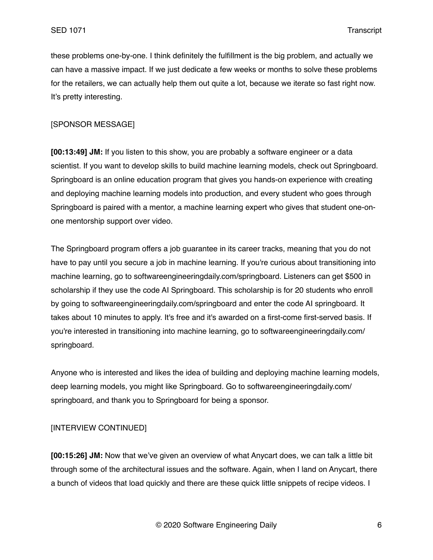these problems one-by-one. I think definitely the fulfillment is the big problem, and actually we can have a massive impact. If we just dedicate a few weeks or months to solve these problems for the retailers, we can actually help them out quite a lot, because we iterate so fast right now. It's pretty interesting.

#### [SPONSOR MESSAGE]

**[00:13:49] JM:** If you listen to this show, you are probably a software engineer or a data scientist. If you want to develop skills to build machine learning models, check out Springboard. Springboard is an online education program that gives you hands-on experience with creating and deploying machine learning models into production, and every student who goes through Springboard is paired with a mentor, a machine learning expert who gives that student one-onone mentorship support over video.

The Springboard program offers a job guarantee in its career tracks, meaning that you do not have to pay until you secure a job in machine learning. If you're curious about transitioning into machine learning, go to softwareengineeringdaily.com/springboard. Listeners can get \$500 in scholarship if they use the code AI Springboard. This scholarship is for 20 students who enroll by going to softwareengineeringdaily.com/springboard and enter the code AI springboard. It takes about 10 minutes to apply. It's free and it's awarded on a first-come first-served basis. If you're interested in transitioning into machine learning, go to softwareengineeringdaily.com/ springboard.

Anyone who is interested and likes the idea of building and deploying machine learning models, deep learning models, you might like Springboard. Go to softwareengineeringdaily.com/ springboard, and thank you to Springboard for being a sponsor.

## [INTERVIEW CONTINUED]

**[00:15:26] JM:** Now that we've given an overview of what Anycart does, we can talk a little bit through some of the architectural issues and the software. Again, when I land on Anycart, there a bunch of videos that load quickly and there are these quick little snippets of recipe videos. I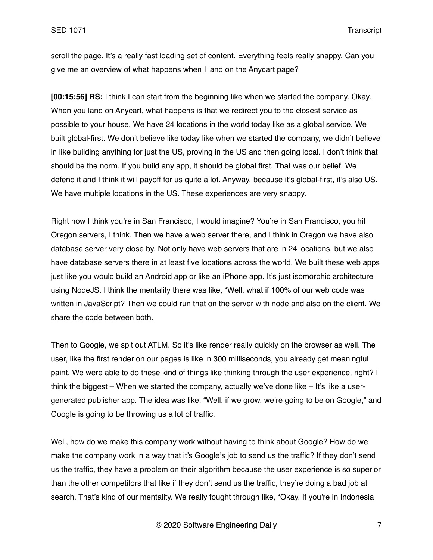scroll the page. It's a really fast loading set of content. Everything feels really snappy. Can you give me an overview of what happens when I land on the Anycart page?

**[00:15:56] RS:** I think I can start from the beginning like when we started the company. Okay. When you land on Anycart, what happens is that we redirect you to the closest service as possible to your house. We have 24 locations in the world today like as a global service. We built global-first. We don't believe like today like when we started the company, we didn't believe in like building anything for just the US, proving in the US and then going local. I don't think that should be the norm. If you build any app, it should be global first. That was our belief. We defend it and I think it will payoff for us quite a lot. Anyway, because it's global-first, it's also US. We have multiple locations in the US. These experiences are very snappy.

Right now I think you're in San Francisco, I would imagine? You're in San Francisco, you hit Oregon servers, I think. Then we have a web server there, and I think in Oregon we have also database server very close by. Not only have web servers that are in 24 locations, but we also have database servers there in at least five locations across the world. We built these web apps just like you would build an Android app or like an iPhone app. It's just isomorphic architecture using NodeJS. I think the mentality there was like, "Well, what if 100% of our web code was written in JavaScript? Then we could run that on the server with node and also on the client. We share the code between both.

Then to Google, we spit out ATLM. So it's like render really quickly on the browser as well. The user, like the first render on our pages is like in 300 milliseconds, you already get meaningful paint. We were able to do these kind of things like thinking through the user experience, right? I think the biggest – When we started the company, actually we've done like  $-$  It's like a usergenerated publisher app. The idea was like, "Well, if we grow, we're going to be on Google," and Google is going to be throwing us a lot of traffic.

Well, how do we make this company work without having to think about Google? How do we make the company work in a way that it's Google's job to send us the traffic? If they don't send us the traffic, they have a problem on their algorithm because the user experience is so superior than the other competitors that like if they don't send us the traffic, they're doing a bad job at search. That's kind of our mentality. We really fought through like, "Okay. If you're in Indonesia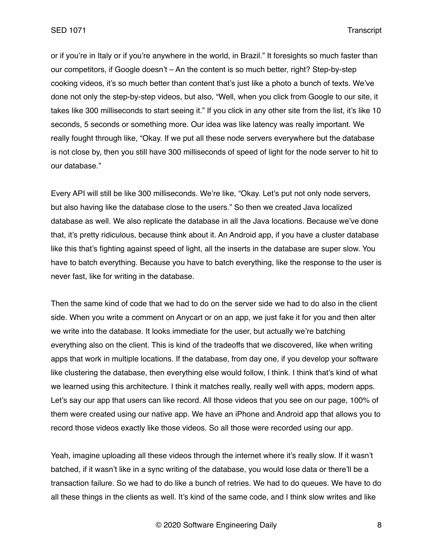or if you're in Italy or if you're anywhere in the world, in Brazil." It foresights so much faster than our competitors, if Google doesn't – An the content is so much better, right? Step-by-step cooking videos, it's so much better than content that's just like a photo a bunch of texts. We've done not only the step-by-step videos, but also, "Well, when you click from Google to our site, it takes like 300 milliseconds to start seeing it." If you click in any other site from the list, it's like 10 seconds, 5 seconds or something more. Our idea was like latency was really important. We really fought through like, "Okay. If we put all these node servers everywhere but the database is not close by, then you still have 300 milliseconds of speed of light for the node server to hit to our database."

Every API will still be like 300 milliseconds. We're like, "Okay. Let's put not only node servers, but also having like the database close to the users." So then we created Java localized database as well. We also replicate the database in all the Java locations. Because we've done that, it's pretty ridiculous, because think about it. An Android app, if you have a cluster database like this that's fighting against speed of light, all the inserts in the database are super slow. You have to batch everything. Because you have to batch everything, like the response to the user is never fast, like for writing in the database.

Then the same kind of code that we had to do on the server side we had to do also in the client side. When you write a comment on Anycart or on an app, we just fake it for you and then alter we write into the database. It looks immediate for the user, but actually we're batching everything also on the client. This is kind of the tradeoffs that we discovered, like when writing apps that work in multiple locations. If the database, from day one, if you develop your software like clustering the database, then everything else would follow, I think. I think that's kind of what we learned using this architecture. I think it matches really, really well with apps, modern apps. Let's say our app that users can like record. All those videos that you see on our page, 100% of them were created using our native app. We have an iPhone and Android app that allows you to record those videos exactly like those videos. So all those were recorded using our app.

Yeah, imagine uploading all these videos through the internet where it's really slow. If it wasn't batched, if it wasn't like in a sync writing of the database, you would lose data or there'll be a transaction failure. So we had to do like a bunch of retries. We had to do queues. We have to do all these things in the clients as well. It's kind of the same code, and I think slow writes and like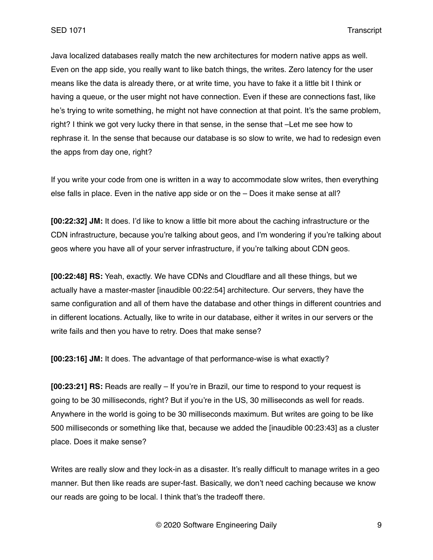Java localized databases really match the new architectures for modern native apps as well. Even on the app side, you really want to like batch things, the writes. Zero latency for the user means like the data is already there, or at write time, you have to fake it a little bit I think or having a queue, or the user might not have connection. Even if these are connections fast, like he's trying to write something, he might not have connection at that point. It's the same problem, right? I think we got very lucky there in that sense, in the sense that –Let me see how to rephrase it. In the sense that because our database is so slow to write, we had to redesign even the apps from day one, right?

If you write your code from one is written in a way to accommodate slow writes, then everything else falls in place. Even in the native app side or on the – Does it make sense at all?

**[00:22:32] JM:** It does. I'd like to know a little bit more about the caching infrastructure or the CDN infrastructure, because you're talking about geos, and I'm wondering if you're talking about geos where you have all of your server infrastructure, if you're talking about CDN geos.

**[00:22:48] RS:** Yeah, exactly. We have CDNs and Cloudflare and all these things, but we actually have a master-master [inaudible 00:22:54] architecture. Our servers, they have the same configuration and all of them have the database and other things in different countries and in different locations. Actually, like to write in our database, either it writes in our servers or the write fails and then you have to retry. Does that make sense?

**[00:23:16] JM:** It does. The advantage of that performance-wise is what exactly?

**[00:23:21] RS:** Reads are really – If you're in Brazil, our time to respond to your request is going to be 30 milliseconds, right? But if you're in the US, 30 milliseconds as well for reads. Anywhere in the world is going to be 30 milliseconds maximum. But writes are going to be like 500 milliseconds or something like that, because we added the [inaudible 00:23:43] as a cluster place. Does it make sense?

Writes are really slow and they lock-in as a disaster. It's really difficult to manage writes in a geo manner. But then like reads are super-fast. Basically, we don't need caching because we know our reads are going to be local. I think that's the tradeoff there.

© 2020 Software Engineering Daily 9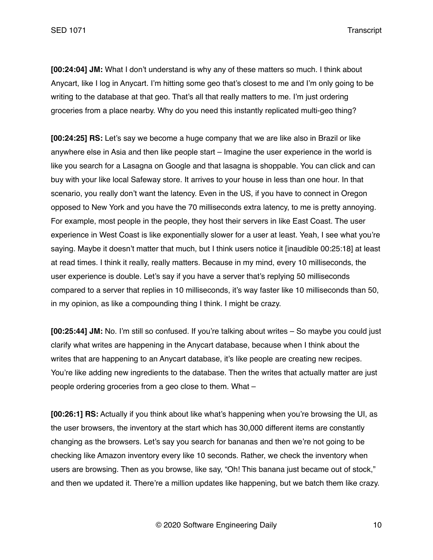**[00:24:04] JM:** What I don't understand is why any of these matters so much. I think about Anycart, like I log in Anycart. I'm hitting some geo that's closest to me and I'm only going to be writing to the database at that geo. That's all that really matters to me. I'm just ordering groceries from a place nearby. Why do you need this instantly replicated multi-geo thing?

**[00:24:25] RS:** Let's say we become a huge company that we are like also in Brazil or like anywhere else in Asia and then like people start – Imagine the user experience in the world is like you search for a Lasagna on Google and that lasagna is shoppable. You can click and can buy with your like local Safeway store. It arrives to your house in less than one hour. In that scenario, you really don't want the latency. Even in the US, if you have to connect in Oregon opposed to New York and you have the 70 milliseconds extra latency, to me is pretty annoying. For example, most people in the people, they host their servers in like East Coast. The user experience in West Coast is like exponentially slower for a user at least. Yeah, I see what you're saying. Maybe it doesn't matter that much, but I think users notice it [inaudible 00:25:18] at least at read times. I think it really, really matters. Because in my mind, every 10 milliseconds, the user experience is double. Let's say if you have a server that's replying 50 milliseconds compared to a server that replies in 10 milliseconds, it's way faster like 10 milliseconds than 50, in my opinion, as like a compounding thing I think. I might be crazy.

**[00:25:44] JM:** No. I'm still so confused. If you're talking about writes – So maybe you could just clarify what writes are happening in the Anycart database, because when I think about the writes that are happening to an Anycart database, it's like people are creating new recipes. You're like adding new ingredients to the database. Then the writes that actually matter are just people ordering groceries from a geo close to them. What –

**[00:26:1] RS:** Actually if you think about like what's happening when you're browsing the UI, as the user browsers, the inventory at the start which has 30,000 different items are constantly changing as the browsers. Let's say you search for bananas and then we're not going to be checking like Amazon inventory every like 10 seconds. Rather, we check the inventory when users are browsing. Then as you browse, like say, "Oh! This banana just became out of stock," and then we updated it. There're a million updates like happening, but we batch them like crazy.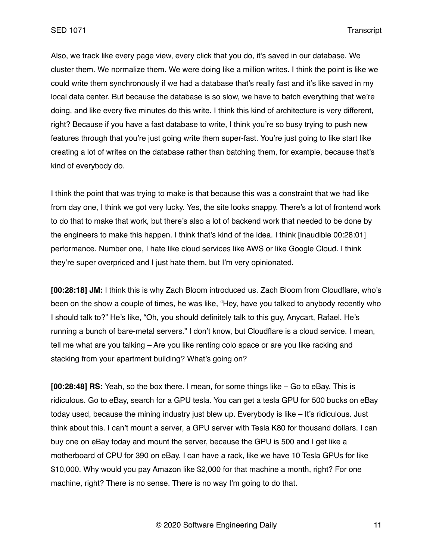Also, we track like every page view, every click that you do, it's saved in our database. We cluster them. We normalize them. We were doing like a million writes. I think the point is like we could write them synchronously if we had a database that's really fast and it's like saved in my local data center. But because the database is so slow, we have to batch everything that we're doing, and like every five minutes do this write. I think this kind of architecture is very different, right? Because if you have a fast database to write, I think you're so busy trying to push new features through that you're just going write them super-fast. You're just going to like start like creating a lot of writes on the database rather than batching them, for example, because that's kind of everybody do.

I think the point that was trying to make is that because this was a constraint that we had like from day one, I think we got very lucky. Yes, the site looks snappy. There's a lot of frontend work to do that to make that work, but there's also a lot of backend work that needed to be done by the engineers to make this happen. I think that's kind of the idea. I think [inaudible 00:28:01] performance. Number one, I hate like cloud services like AWS or like Google Cloud. I think they're super overpriced and I just hate them, but I'm very opinionated.

**[00:28:18] JM:** I think this is why Zach Bloom introduced us. Zach Bloom from Cloudflare, who's been on the show a couple of times, he was like, "Hey, have you talked to anybody recently who I should talk to?" He's like, "Oh, you should definitely talk to this guy, Anycart, Rafael. He's running a bunch of bare-metal servers." I don't know, but Cloudflare is a cloud service. I mean, tell me what are you talking – Are you like renting colo space or are you like racking and stacking from your apartment building? What's going on?

**[00:28:48] RS:** Yeah, so the box there. I mean, for some things like – Go to eBay. This is ridiculous. Go to eBay, search for a GPU tesla. You can get a tesla GPU for 500 bucks on eBay today used, because the mining industry just blew up. Everybody is like – It's ridiculous. Just think about this. I can't mount a server, a GPU server with Tesla K80 for thousand dollars. I can buy one on eBay today and mount the server, because the GPU is 500 and I get like a motherboard of CPU for 390 on eBay. I can have a rack, like we have 10 Tesla GPUs for like \$10,000. Why would you pay Amazon like \$2,000 for that machine a month, right? For one machine, right? There is no sense. There is no way I'm going to do that.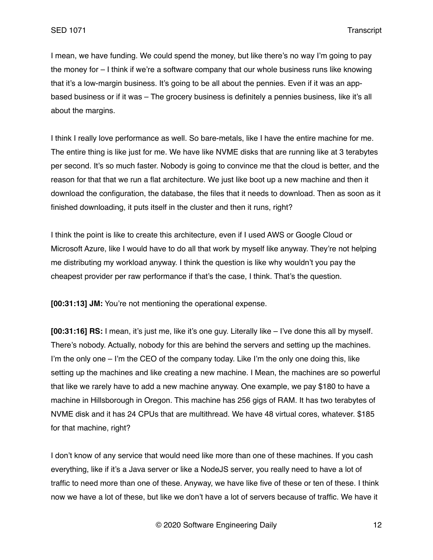I mean, we have funding. We could spend the money, but like there's no way I'm going to pay the money for – I think if we're a software company that our whole business runs like knowing that it's a low-margin business. It's going to be all about the pennies. Even if it was an appbased business or if it was – The grocery business is definitely a pennies business, like it's all about the margins.

I think I really love performance as well. So bare-metals, like I have the entire machine for me. The entire thing is like just for me. We have like NVME disks that are running like at 3 terabytes per second. It's so much faster. Nobody is going to convince me that the cloud is better, and the reason for that that we run a flat architecture. We just like boot up a new machine and then it download the configuration, the database, the files that it needs to download. Then as soon as it finished downloading, it puts itself in the cluster and then it runs, right?

I think the point is like to create this architecture, even if I used AWS or Google Cloud or Microsoft Azure, like I would have to do all that work by myself like anyway. They're not helping me distributing my workload anyway. I think the question is like why wouldn't you pay the cheapest provider per raw performance if that's the case, I think. That's the question.

**[00:31:13] JM:** You're not mentioning the operational expense.

**[00:31:16] RS:** I mean, it's just me, like it's one guy. Literally like – I've done this all by myself. There's nobody. Actually, nobody for this are behind the servers and setting up the machines. I'm the only one  $-1$ 'm the CEO of the company today. Like I'm the only one doing this, like setting up the machines and like creating a new machine. I Mean, the machines are so powerful that like we rarely have to add a new machine anyway. One example, we pay \$180 to have a machine in Hillsborough in Oregon. This machine has 256 gigs of RAM. It has two terabytes of NVME disk and it has 24 CPUs that are multithread. We have 48 virtual cores, whatever. \$185 for that machine, right?

I don't know of any service that would need like more than one of these machines. If you cash everything, like if it's a Java server or like a NodeJS server, you really need to have a lot of traffic to need more than one of these. Anyway, we have like five of these or ten of these. I think now we have a lot of these, but like we don't have a lot of servers because of traffic. We have it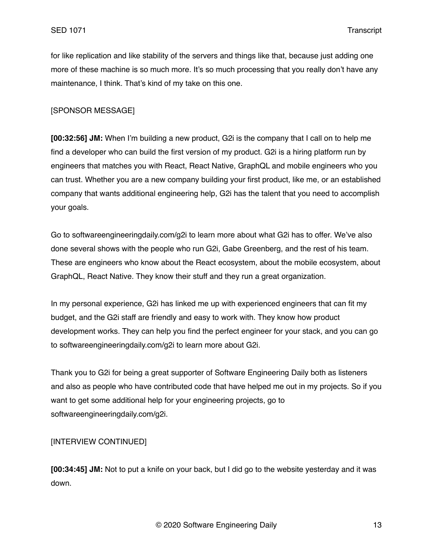for like replication and like stability of the servers and things like that, because just adding one more of these machine is so much more. It's so much processing that you really don't have any maintenance, I think. That's kind of my take on this one.

### [SPONSOR MESSAGE]

**[00:32:56] JM:** When I'm building a new product, G2i is the company that I call on to help me find a developer who can build the first version of my product. G2i is a hiring platform run by engineers that matches you with React, React Native, GraphQL and mobile engineers who you can trust. Whether you are a new company building your first product, like me, or an established company that wants additional engineering help, G2i has the talent that you need to accomplish your goals.

Go to softwareengineeringdaily.com/g2i to learn more about what G2i has to offer. We've also done several shows with the people who run G2i, Gabe Greenberg, and the rest of his team. These are engineers who know about the React ecosystem, about the mobile ecosystem, about GraphQL, React Native. They know their stuff and they run a great organization.

In my personal experience, G2i has linked me up with experienced engineers that can fit my budget, and the G2i staff are friendly and easy to work with. They know how product development works. They can help you find the perfect engineer for your stack, and you can go to softwareengineeringdaily.com/g2i to learn more about G2i.

Thank you to G2i for being a great supporter of Software Engineering Daily both as listeners and also as people who have contributed code that have helped me out in my projects. So if you want to get some additional help for your engineering projects, go to softwareengineeringdaily.com/g2i.

# [INTERVIEW CONTINUED]

**[00:34:45] JM:** Not to put a knife on your back, but I did go to the website yesterday and it was down.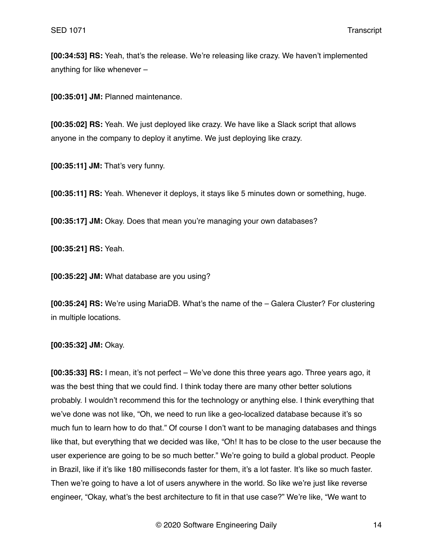**[00:34:53] RS:** Yeah, that's the release. We're releasing like crazy. We haven't implemented anything for like whenever –

**[00:35:01] JM:** Planned maintenance.

**[00:35:02] RS:** Yeah. We just deployed like crazy. We have like a Slack script that allows anyone in the company to deploy it anytime. We just deploying like crazy.

**[00:35:11] JM:** That's very funny.

**[00:35:11] RS:** Yeah. Whenever it deploys, it stays like 5 minutes down or something, huge.

**[00:35:17] JM:** Okay. Does that mean you're managing your own databases?

**[00:35:21] RS:** Yeah.

**[00:35:22] JM:** What database are you using?

**[00:35:24] RS:** We're using MariaDB. What's the name of the – Galera Cluster? For clustering in multiple locations.

**[00:35:32] JM:** Okay.

**[00:35:33] RS:** I mean, it's not perfect – We've done this three years ago. Three years ago, it was the best thing that we could find. I think today there are many other better solutions probably. I wouldn't recommend this for the technology or anything else. I think everything that we've done was not like, "Oh, we need to run like a geo-localized database because it's so much fun to learn how to do that." Of course I don't want to be managing databases and things like that, but everything that we decided was like, "Oh! It has to be close to the user because the user experience are going to be so much better." We're going to build a global product. People in Brazil, like if it's like 180 milliseconds faster for them, it's a lot faster. It's like so much faster. Then we're going to have a lot of users anywhere in the world. So like we're just like reverse engineer, "Okay, what's the best architecture to fit in that use case?" We're like, "We want to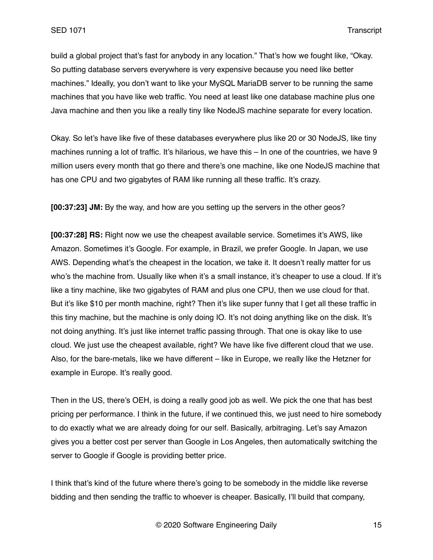build a global project that's fast for anybody in any location." That's how we fought like, "Okay. So putting database servers everywhere is very expensive because you need like better machines." Ideally, you don't want to like your MySQL MariaDB server to be running the same machines that you have like web traffic. You need at least like one database machine plus one Java machine and then you like a really tiny like NodeJS machine separate for every location.

Okay. So let's have like five of these databases everywhere plus like 20 or 30 NodeJS, like tiny machines running a lot of traffic. It's hilarious, we have this – In one of the countries, we have 9 million users every month that go there and there's one machine, like one NodeJS machine that has one CPU and two gigabytes of RAM like running all these traffic. It's crazy.

**[00:37:23] JM:** By the way, and how are you setting up the servers in the other geos?

**[00:37:28] RS:** Right now we use the cheapest available service. Sometimes it's AWS, like Amazon. Sometimes it's Google. For example, in Brazil, we prefer Google. In Japan, we use AWS. Depending what's the cheapest in the location, we take it. It doesn't really matter for us who's the machine from. Usually like when it's a small instance, it's cheaper to use a cloud. If it's like a tiny machine, like two gigabytes of RAM and plus one CPU, then we use cloud for that. But it's like \$10 per month machine, right? Then it's like super funny that I get all these traffic in this tiny machine, but the machine is only doing IO. It's not doing anything like on the disk. It's not doing anything. It's just like internet traffic passing through. That one is okay like to use cloud. We just use the cheapest available, right? We have like five different cloud that we use. Also, for the bare-metals, like we have different – like in Europe, we really like the Hetzner for example in Europe. It's really good.

Then in the US, there's OEH, is doing a really good job as well. We pick the one that has best pricing per performance. I think in the future, if we continued this, we just need to hire somebody to do exactly what we are already doing for our self. Basically, arbitraging. Let's say Amazon gives you a better cost per server than Google in Los Angeles, then automatically switching the server to Google if Google is providing better price.

I think that's kind of the future where there's going to be somebody in the middle like reverse bidding and then sending the traffic to whoever is cheaper. Basically, I'll build that company,

© 2020 Software Engineering Daily 15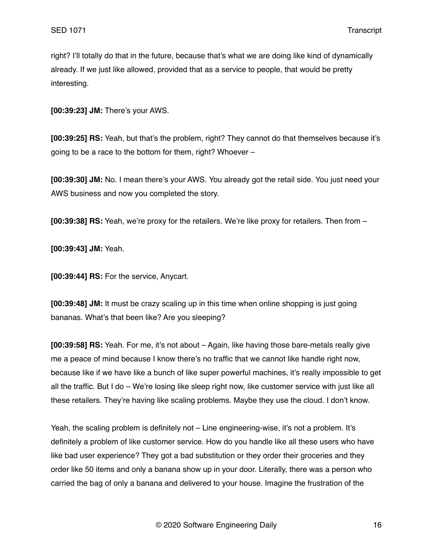right? I'll totally do that in the future, because that's what we are doing like kind of dynamically already. If we just like allowed, provided that as a service to people, that would be pretty interesting.

**[00:39:23] JM:** There's your AWS.

**[00:39:25] RS:** Yeah, but that's the problem, right? They cannot do that themselves because it's going to be a race to the bottom for them, right? Whoever –

**[00:39:30] JM:** No. I mean there's your AWS. You already got the retail side. You just need your AWS business and now you completed the story.

**[00:39:38] RS:** Yeah, we're proxy for the retailers. We're like proxy for retailers. Then from –

**[00:39:43] JM:** Yeah.

**[00:39:44] RS:** For the service, Anycart.

**[00:39:48] JM:** It must be crazy scaling up in this time when online shopping is just going bananas. What's that been like? Are you sleeping?

**[00:39:58] RS:** Yeah. For me, it's not about – Again, like having those bare-metals really give me a peace of mind because I know there's no traffic that we cannot like handle right now, because like if we have like a bunch of like super powerful machines, it's really impossible to get all the traffic. But I do – We're losing like sleep right now, like customer service with just like all these retailers. They're having like scaling problems. Maybe they use the cloud. I don't know.

Yeah, the scaling problem is definitely not - Line engineering-wise, it's not a problem. It's definitely a problem of like customer service. How do you handle like all these users who have like bad user experience? They got a bad substitution or they order their groceries and they order like 50 items and only a banana show up in your door. Literally, there was a person who carried the bag of only a banana and delivered to your house. Imagine the frustration of the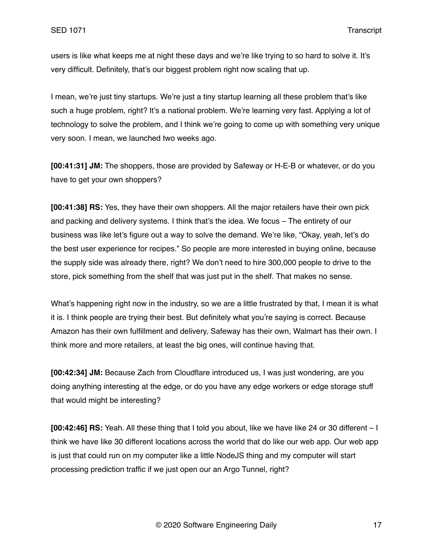users is like what keeps me at night these days and we're like trying to so hard to solve it. It's very difficult. Definitely, that's our biggest problem right now scaling that up.

I mean, we're just tiny startups. We're just a tiny startup learning all these problem that's like such a huge problem, right? It's a national problem. We're learning very fast. Applying a lot of technology to solve the problem, and I think we're going to come up with something very unique very soon. I mean, we launched two weeks ago.

**[00:41:31] JM:** The shoppers, those are provided by Safeway or H-E-B or whatever, or do you have to get your own shoppers?

**[00:41:38] RS:** Yes, they have their own shoppers. All the major retailers have their own pick and packing and delivery systems. I think that's the idea. We focus – The entirety of our business was like let's figure out a way to solve the demand. We're like, "Okay, yeah, let's do the best user experience for recipes." So people are more interested in buying online, because the supply side was already there, right? We don't need to hire 300,000 people to drive to the store, pick something from the shelf that was just put in the shelf. That makes no sense.

What's happening right now in the industry, so we are a little frustrated by that, I mean it is what it is. I think people are trying their best. But definitely what you're saying is correct. Because Amazon has their own fulfillment and delivery, Safeway has their own, Walmart has their own. I think more and more retailers, at least the big ones, will continue having that.

**[00:42:34] JM:** Because Zach from Cloudflare introduced us, I was just wondering, are you doing anything interesting at the edge, or do you have any edge workers or edge storage stuff that would might be interesting?

**[00:42:46] RS:** Yeah. All these thing that I told you about, like we have like 24 or 30 different – I think we have like 30 different locations across the world that do like our web app. Our web app is just that could run on my computer like a little NodeJS thing and my computer will start processing prediction traffic if we just open our an Argo Tunnel, right?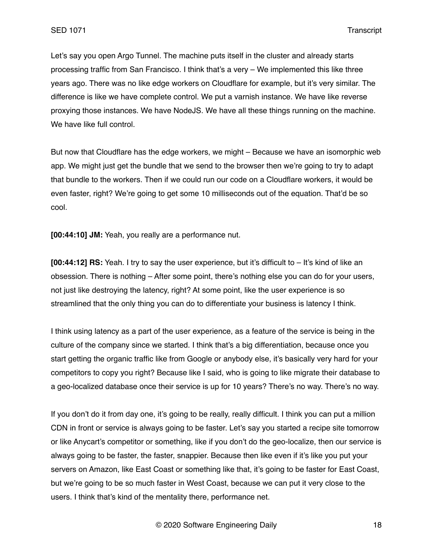Let's say you open Argo Tunnel. The machine puts itself in the cluster and already starts processing traffic from San Francisco. I think that's a very – We implemented this like three years ago. There was no like edge workers on Cloudflare for example, but it's very similar. The difference is like we have complete control. We put a varnish instance. We have like reverse proxying those instances. We have NodeJS. We have all these things running on the machine. We have like full control.

But now that Cloudflare has the edge workers, we might – Because we have an isomorphic web app. We might just get the bundle that we send to the browser then we're going to try to adapt that bundle to the workers. Then if we could run our code on a Cloudflare workers, it would be even faster, right? We're going to get some 10 milliseconds out of the equation. That'd be so cool.

**[00:44:10] JM:** Yeah, you really are a performance nut.

**[00:44:12] RS:** Yeah. I try to say the user experience, but it's difficult to – It's kind of like an obsession. There is nothing – After some point, there's nothing else you can do for your users, not just like destroying the latency, right? At some point, like the user experience is so streamlined that the only thing you can do to differentiate your business is latency I think.

I think using latency as a part of the user experience, as a feature of the service is being in the culture of the company since we started. I think that's a big differentiation, because once you start getting the organic traffic like from Google or anybody else, it's basically very hard for your competitors to copy you right? Because like I said, who is going to like migrate their database to a geo-localized database once their service is up for 10 years? There's no way. There's no way.

If you don't do it from day one, it's going to be really, really difficult. I think you can put a million CDN in front or service is always going to be faster. Let's say you started a recipe site tomorrow or like Anycart's competitor or something, like if you don't do the geo-localize, then our service is always going to be faster, the faster, snappier. Because then like even if it's like you put your servers on Amazon, like East Coast or something like that, it's going to be faster for East Coast, but we're going to be so much faster in West Coast, because we can put it very close to the users. I think that's kind of the mentality there, performance net.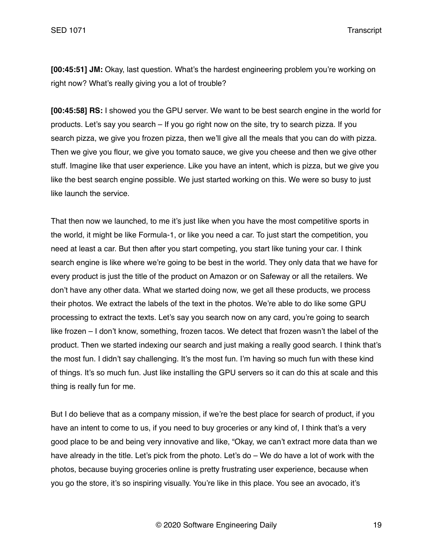**[00:45:51] JM:** Okay, last question. What's the hardest engineering problem you're working on right now? What's really giving you a lot of trouble?

**[00:45:58] RS:** I showed you the GPU server. We want to be best search engine in the world for products. Let's say you search – If you go right now on the site, try to search pizza. If you search pizza, we give you frozen pizza, then we'll give all the meals that you can do with pizza. Then we give you flour, we give you tomato sauce, we give you cheese and then we give other stuff. Imagine like that user experience. Like you have an intent, which is pizza, but we give you like the best search engine possible. We just started working on this. We were so busy to just like launch the service.

That then now we launched, to me it's just like when you have the most competitive sports in the world, it might be like Formula-1, or like you need a car. To just start the competition, you need at least a car. But then after you start competing, you start like tuning your car. I think search engine is like where we're going to be best in the world. They only data that we have for every product is just the title of the product on Amazon or on Safeway or all the retailers. We don't have any other data. What we started doing now, we get all these products, we process their photos. We extract the labels of the text in the photos. We're able to do like some GPU processing to extract the texts. Let's say you search now on any card, you're going to search like frozen – I don't know, something, frozen tacos. We detect that frozen wasn't the label of the product. Then we started indexing our search and just making a really good search. I think that's the most fun. I didn't say challenging. It's the most fun. I'm having so much fun with these kind of things. It's so much fun. Just like installing the GPU servers so it can do this at scale and this thing is really fun for me.

But I do believe that as a company mission, if we're the best place for search of product, if you have an intent to come to us, if you need to buy groceries or any kind of, I think that's a very good place to be and being very innovative and like, "Okay, we can't extract more data than we have already in the title. Let's pick from the photo. Let's do – We do have a lot of work with the photos, because buying groceries online is pretty frustrating user experience, because when you go the store, it's so inspiring visually. You're like in this place. You see an avocado, it's